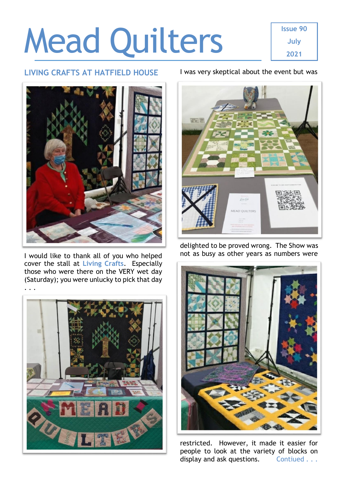# Mead Quilters

**Issue 90 July 2021**

### **LIVING CRAFTS AT HATFIELD HOUSE**



I would like to thank all of you who helped cover the stall at **Living Crafts**. Especially those who were there on the VERY wet day (Saturday); you were unlucky to pick that day



### I was very skeptical about the event but was



delighted to be proved wrong. The Show was not as busy as other years as numbers were



restricted. However, it made it easier for people to look at the variety of blocks on display and ask questions. Contiued . . .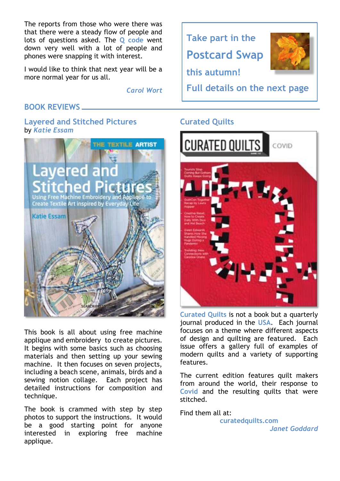The reports from those who were there was that there were a steady flow of people and lots of questions asked. The **Q code** went down very well with a lot of people and phones were snapping it with interest.

I would like to think that next year will be a more normal year for us all.

*Carol Wort*

## **BOOK REVIEWS**

### **Layered and Stitched Pictures** by *Katie Essam*



This book is all about using free machine applique and embroidery to create pictures. It begins with some basics such as choosing materials and then setting up your sewing machine. It then focuses on seven projects, including a beach scene, animals, birds and a sewing notion collage. Each project has detailed instructions for composition and technique.

The book is crammed with step by step photos to support the instructions. It would be a good starting point for anyone interested in exploring free machine applique.



# **Curated Quilts**



**Curated Quilts** is not a book but a quarterly journal produced in the **USA**. Each journal focuses on a theme where different aspects of design and quilting are featured. Each issue offers a gallery full of examples of modern quilts and a variety of supporting features.

The current edition features quilt makers from around the world, their response to **Covid** and the resulting quilts that were stitched.

Find them all at:

**[curatedquilts.com](https://curatedquilts.com/)** *Janet Goddard*